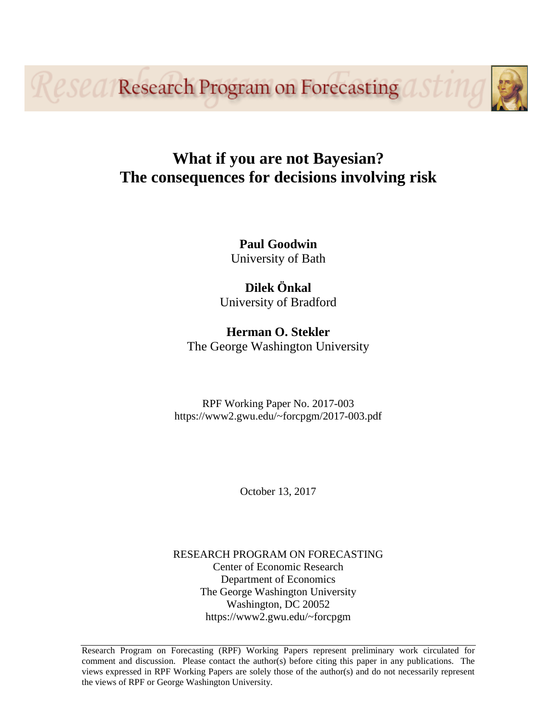**Research Program on Forecasting OF** 

# **What if you are not Bayesian? The consequences for decisions involving risk**

**Paul Goodwin** University of Bath

**Dilek Önkal** University of Bradford

**Herman O. Stekler** The George Washington University

RPF Working Paper No. 2017-003 https://www2.gwu.edu/~forcpgm/2017-003.pdf

October 13, 2017

RESEARCH PROGRAM ON FORECASTING Center of Economic Research Department of Economics The George Washington University Washington, DC 20052 https://www2.gwu.edu/~forcpgm

Research Program on Forecasting (RPF) Working Papers represent preliminary work circulated for comment and discussion. Please contact the author(s) before citing this paper in any publications. The views expressed in RPF Working Papers are solely those of the author(s) and do not necessarily represent the views of RPF or George Washington University.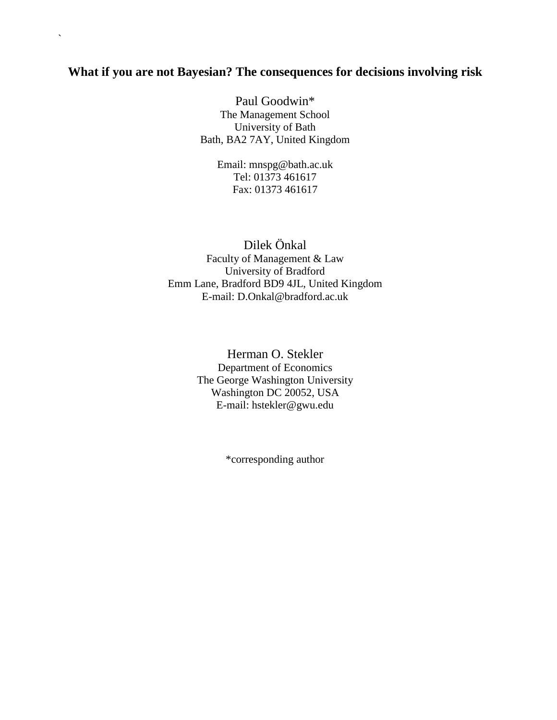# **What if you are not Bayesian? The consequences for decisions involving risk**

 $\ddot{\phantom{0}}$ 

Paul Goodwin\* The Management School University of Bath Bath, BA2 7AY, United Kingdom

> Email: mnspg@bath.ac.uk Tel: 01373 461617 Fax: 01373 461617

Dilek Önkal Faculty of Management & Law University of Bradford Emm Lane, Bradford BD9 4JL, United Kingdom E-mail: D.Onkal@bradford.ac.uk

> Herman O. Stekler Department of Economics The George Washington University Washington DC 20052, USA E-mail: hstekler@gwu.edu

> > \*corresponding author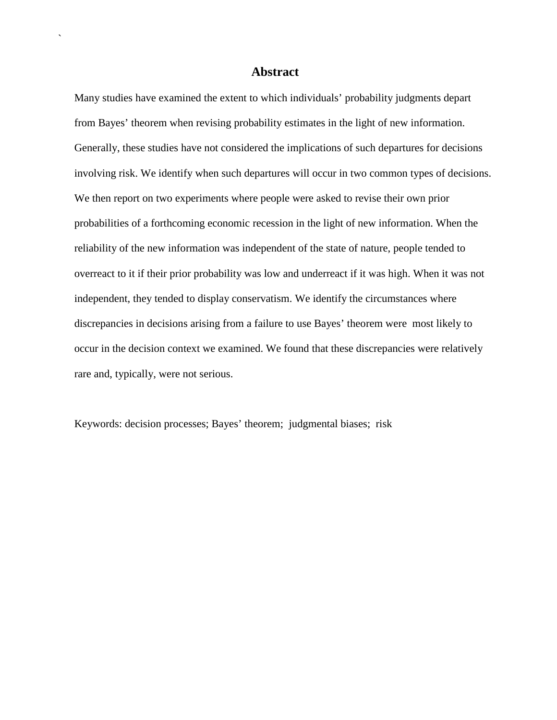# **Abstract**

`

Many studies have examined the extent to which individuals' probability judgments depart from Bayes' theorem when revising probability estimates in the light of new information. Generally, these studies have not considered the implications of such departures for decisions involving risk. We identify when such departures will occur in two common types of decisions. We then report on two experiments where people were asked to revise their own prior probabilities of a forthcoming economic recession in the light of new information. When the reliability of the new information was independent of the state of nature, people tended to overreact to it if their prior probability was low and underreact if it was high. When it was not independent, they tended to display conservatism. We identify the circumstances where discrepancies in decisions arising from a failure to use Bayes' theorem were most likely to occur in the decision context we examined. We found that these discrepancies were relatively rare and, typically, were not serious.

Keywords: decision processes; Bayes' theorem; judgmental biases; risk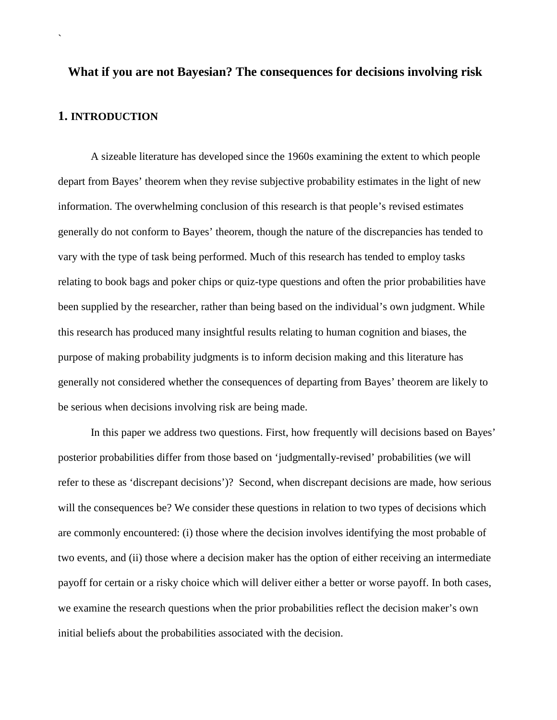# **What if you are not Bayesian? The consequences for decisions involving risk 1. INTRODUCTION**

`

A sizeable literature has developed since the 1960s examining the extent to which people depart from Bayes' theorem when they revise subjective probability estimates in the light of new information. The overwhelming conclusion of this research is that people's revised estimates generally do not conform to Bayes' theorem, though the nature of the discrepancies has tended to vary with the type of task being performed. Much of this research has tended to employ tasks relating to book bags and poker chips or quiz-type questions and often the prior probabilities have been supplied by the researcher, rather than being based on the individual's own judgment. While this research has produced many insightful results relating to human cognition and biases, the purpose of making probability judgments is to inform decision making and this literature has generally not considered whether the consequences of departing from Bayes' theorem are likely to be serious when decisions involving risk are being made.

In this paper we address two questions. First, how frequently will decisions based on Bayes' posterior probabilities differ from those based on 'judgmentally-revised' probabilities (we will refer to these as 'discrepant decisions')? Second, when discrepant decisions are made, how serious will the consequences be? We consider these questions in relation to two types of decisions which are commonly encountered: (i) those where the decision involves identifying the most probable of two events, and (ii) those where a decision maker has the option of either receiving an intermediate payoff for certain or a risky choice which will deliver either a better or worse payoff. In both cases, we examine the research questions when the prior probabilities reflect the decision maker's own initial beliefs about the probabilities associated with the decision.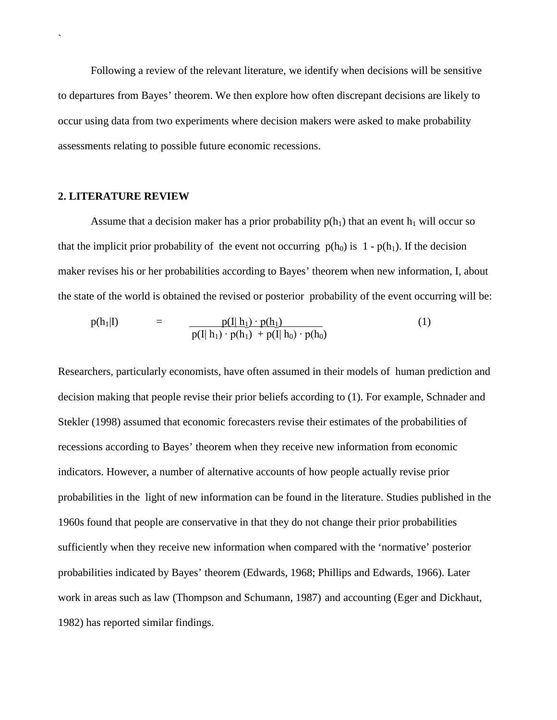Following a review of the relevant literature, we identify when decisions will be sensitive to departures from Bayes' theorem. We then explore how often discrepant decisions are likely to occur using data from two experiments where decision makers were asked to make probability assessments relating to possible future economic recessions.

# **2. LITERATURE REVIEW**

`

Assume that a decision maker has a prior probability  $p(h_1)$  that an event  $h_1$  will occur so that the implicit prior probability of the event not occurring  $p(h_0)$  is  $1 - p(h_1)$ . If the decision maker revises his or her probabilities according to Bayes' theorem when new information, I, about the state of the world is obtained the revised or posterior probability of the event occurring will be:

$$
p(h_1|I) = \frac{p(I|h_1) \cdot p(h_1)}{p(I|h_1) \cdot p(h_1) + p(I|h_0) \cdot p(h_0)}
$$
(1)

Researchers, particularly economists, have often assumed in their models of human prediction and decision making that people revise their prior beliefs according to (1). For example, Schnader and Stekler (1998) assumed that economic forecasters revise their estimates of the probabilities of recessions according to Bayes' theorem when they receive new information from economic indicators. However, a number of alternative accounts of how people actually revise prior probabilities in the light of new information can be found in the literature. Studies published in the 1960s found that people are conservative in that they do not change their prior probabilities sufficiently when they receive new information when compared with the 'normative' posterior probabilities indicated by Bayes' theorem (Edwards, 1968; Phillips and Edwards, 1966). Later work in areas such as law (Thompson and Schumann, 1987) and accounting (Eger and Dickhaut, 1982) has reported similar findings.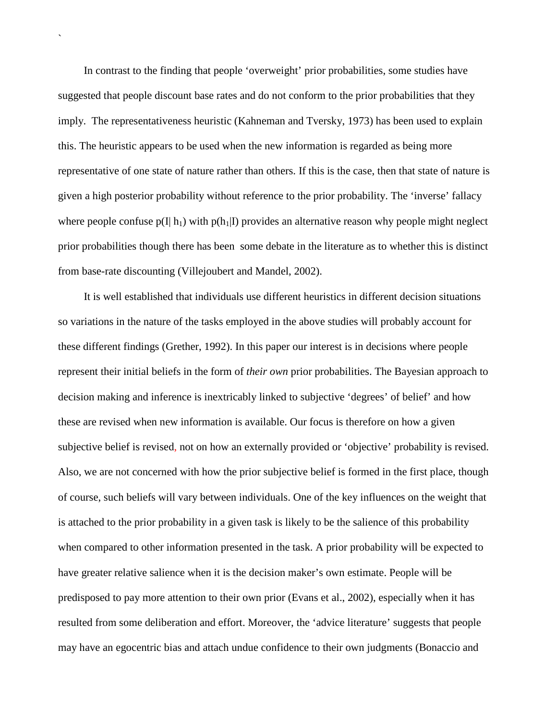In contrast to the finding that people 'overweight' prior probabilities, some studies have suggested that people discount base rates and do not conform to the prior probabilities that they imply. The representativeness heuristic (Kahneman and Tversky, 1973) has been used to explain this. The heuristic appears to be used when the new information is regarded as being more representative of one state of nature rather than others. If this is the case, then that state of nature is given a high posterior probability without reference to the prior probability. The 'inverse' fallacy where people confuse  $p(I|h_1)$  with  $p(h_1|I)$  provides an alternative reason why people might neglect prior probabilities though there has been some debate in the literature as to whether this is distinct from base-rate discounting (Villejoubert and Mandel, 2002).

`

It is well established that individuals use different heuristics in different decision situations so variations in the nature of the tasks employed in the above studies will probably account for these different findings (Grether, 1992). In this paper our interest is in decisions where people represent their initial beliefs in the form of *their own* prior probabilities. The Bayesian approach to decision making and inference is inextricably linked to subjective 'degrees' of belief' and how these are revised when new information is available. Our focus is therefore on how a given subjective belief is revised, not on how an externally provided or 'objective' probability is revised. Also, we are not concerned with how the prior subjective belief is formed in the first place, though of course, such beliefs will vary between individuals. One of the key influences on the weight that is attached to the prior probability in a given task is likely to be the salience of this probability when compared to other information presented in the task. A prior probability will be expected to have greater relative salience when it is the decision maker's own estimate. People will be predisposed to pay more attention to their own prior (Evans et al., 2002), especially when it has resulted from some deliberation and effort. Moreover, the 'advice literature' suggests that people may have an egocentric bias and attach undue confidence to their own judgments (Bonaccio and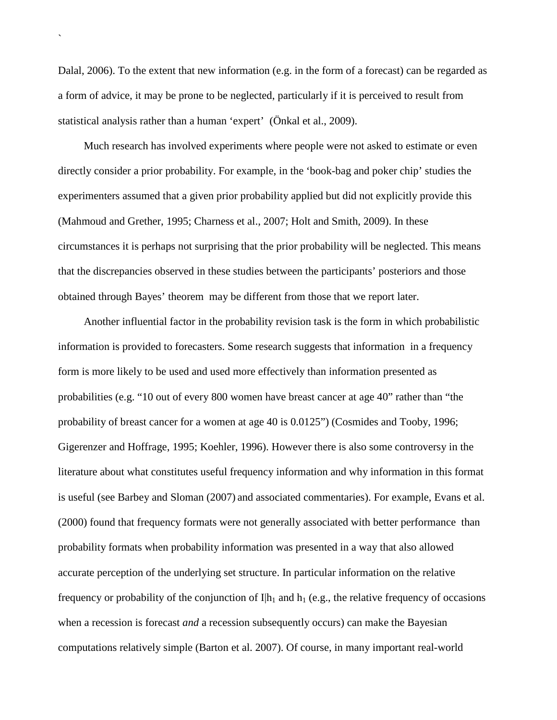Dalal, 2006). To the extent that new information (e.g. in the form of a forecast) can be regarded as a form of advice, it may be prone to be neglected, particularly if it is perceived to result from statistical analysis rather than a human 'expert' (Önkal et al., 2009).

`

Much research has involved experiments where people were not asked to estimate or even directly consider a prior probability. For example, in the 'book-bag and poker chip' studies the experimenters assumed that a given prior probability applied but did not explicitly provide this (Mahmoud and Grether, 1995; Charness et al., 2007; Holt and Smith, 2009). In these circumstances it is perhaps not surprising that the prior probability will be neglected. This means that the discrepancies observed in these studies between the participants' posteriors and those obtained through Bayes' theorem may be different from those that we report later.

Another influential factor in the probability revision task is the form in which probabilistic information is provided to forecasters. Some research suggests that information in a frequency form is more likely to be used and used more effectively than information presented as probabilities (e.g. "10 out of every 800 women have breast cancer at age 40" rather than "the probability of breast cancer for a women at age 40 is 0.0125") (Cosmides and Tooby, 1996; Gigerenzer and Hoffrage, 1995; Koehler, 1996). However there is also some controversy in the literature about what constitutes useful frequency information and why information in this format is useful (see Barbey and Sloman (2007) and associated commentaries). For example, Evans et al. (2000) found that frequency formats were not generally associated with better performance than probability formats when probability information was presented in a way that also allowed accurate perception of the underlying set structure. In particular information on the relative frequency or probability of the conjunction of  $I|h_1$  and  $h_1$  (e.g., the relative frequency of occasions when a recession is forecast *and* a recession subsequently occurs) can make the Bayesian computations relatively simple (Barton et al. 2007). Of course, in many important real-world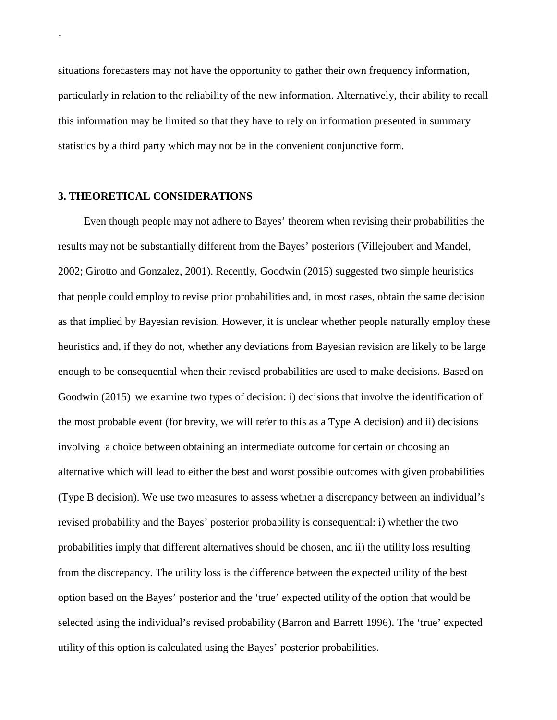situations forecasters may not have the opportunity to gather their own frequency information, particularly in relation to the reliability of the new information. Alternatively, their ability to recall this information may be limited so that they have to rely on information presented in summary statistics by a third party which may not be in the convenient conjunctive form.

# **3. THEORETICAL CONSIDERATIONS**

`

Even though people may not adhere to Bayes' theorem when revising their probabilities the results may not be substantially different from the Bayes' posteriors (Villejoubert and Mandel, 2002; Girotto and Gonzalez, 2001). Recently, Goodwin (2015) suggested two simple heuristics that people could employ to revise prior probabilities and, in most cases, obtain the same decision as that implied by Bayesian revision. However, it is unclear whether people naturally employ these heuristics and, if they do not, whether any deviations from Bayesian revision are likely to be large enough to be consequential when their revised probabilities are used to make decisions. Based on Goodwin (2015) we examine two types of decision: i) decisions that involve the identification of the most probable event (for brevity, we will refer to this as a Type A decision) and ii) decisions involving a choice between obtaining an intermediate outcome for certain or choosing an alternative which will lead to either the best and worst possible outcomes with given probabilities (Type B decision). We use two measures to assess whether a discrepancy between an individual's revised probability and the Bayes' posterior probability is consequential: i) whether the two probabilities imply that different alternatives should be chosen, and ii) the utility loss resulting from the discrepancy. The utility loss is the difference between the expected utility of the best option based on the Bayes' posterior and the 'true' expected utility of the option that would be selected using the individual's revised probability (Barron and Barrett 1996). The 'true' expected utility of this option is calculated using the Bayes' posterior probabilities.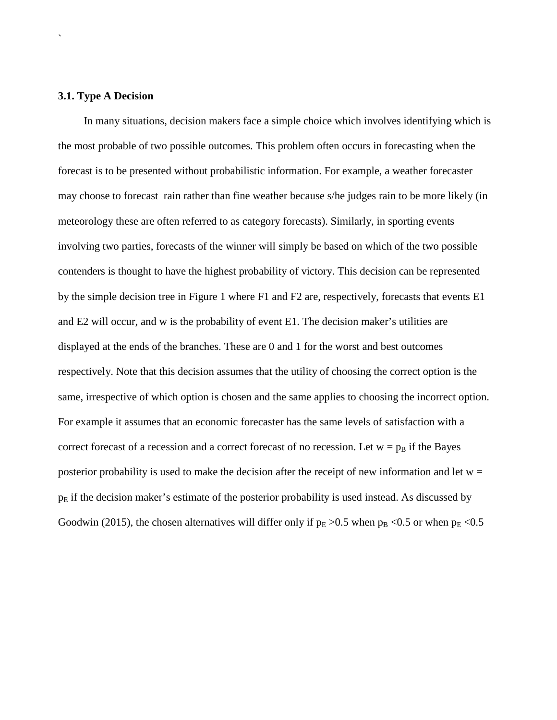## **3.1. Type A Decision**

`

In many situations, decision makers face a simple choice which involves identifying which is the most probable of two possible outcomes. This problem often occurs in forecasting when the forecast is to be presented without probabilistic information. For example, a weather forecaster may choose to forecast rain rather than fine weather because s/he judges rain to be more likely (in meteorology these are often referred to as category forecasts). Similarly, in sporting events involving two parties, forecasts of the winner will simply be based on which of the two possible contenders is thought to have the highest probability of victory. This decision can be represented by the simple decision tree in Figure 1 where F1 and F2 are, respectively, forecasts that events E1 and E2 will occur, and w is the probability of event E1. The decision maker's utilities are displayed at the ends of the branches. These are 0 and 1 for the worst and best outcomes respectively. Note that this decision assumes that the utility of choosing the correct option is the same, irrespective of which option is chosen and the same applies to choosing the incorrect option. For example it assumes that an economic forecaster has the same levels of satisfaction with a correct forecast of a recession and a correct forecast of no recession. Let  $w = p_B$  if the Bayes posterior probability is used to make the decision after the receipt of new information and let  $w =$  $p<sub>E</sub>$  if the decision maker's estimate of the posterior probability is used instead. As discussed by Goodwin (2015), the chosen alternatives will differ only if  $p_E > 0.5$  when  $p_B < 0.5$  or when  $p_E < 0.5$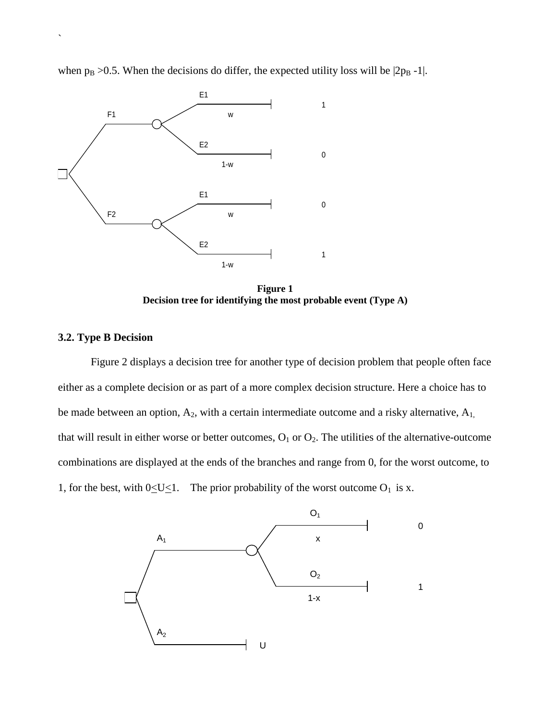when  $p_B > 0.5$ . When the decisions do differ, the expected utility loss will be  $|2p_B -1|$ .



**Figure 1 Decision tree for identifying the most probable event (Type A)**

# **3.2. Type B Decision**

`

Figure 2 displays a decision tree for another type of decision problem that people often face either as a complete decision or as part of a more complex decision structure. Here a choice has to be made between an option,  $A_2$ , with a certain intermediate outcome and a risky alternative,  $A_1$ , that will result in either worse or better outcomes,  $O_1$  or  $O_2$ . The utilities of the alternative-outcome combinations are displayed at the ends of the branches and range from 0, for the worst outcome, to 1, for the best, with  $0 \le U \le 1$ . The prior probability of the worst outcome O<sub>1</sub> is x.

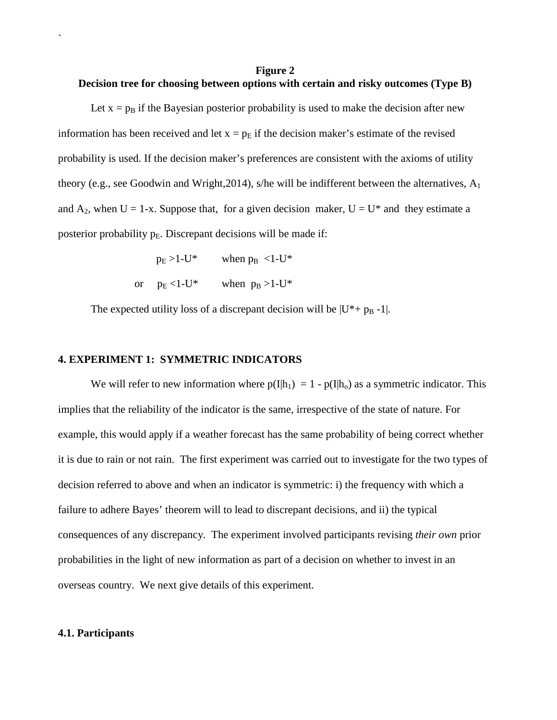# **Figure 2 Decision tree for choosing between options with certain and risky outcomes (Type B)**

Let  $x = p_B$  if the Bayesian posterior probability is used to make the decision after new information has been received and let  $x = p_E$  if the decision maker's estimate of the revised probability is used. If the decision maker's preferences are consistent with the axioms of utility theory (e.g., see Goodwin and Wright, 2014), s/he will be indifferent between the alternatives,  $A_1$ and  $A_2$ , when  $U = 1-x$ . Suppose that, for a given decision maker,  $U = U^*$  and they estimate a posterior probability  $p_E$ . Discrepant decisions will be made if:

> $p_E > 1-U^*$  when  $p_B < 1-U^*$ or  $p_E < 1-U^*$  when  $p_B > 1-U^*$

The expected utility loss of a discrepant decision will be  $|U^* + p_B - 1|$ .

# **4. EXPERIMENT 1: SYMMETRIC INDICATORS**

We will refer to new information where  $p(I|h_1) = 1 - p(I|h_0)$  as a symmetric indicator. This implies that the reliability of the indicator is the same, irrespective of the state of nature. For example, this would apply if a weather forecast has the same probability of being correct whether it is due to rain or not rain. The first experiment was carried out to investigate for the two types of decision referred to above and when an indicator is symmetric: i) the frequency with which a failure to adhere Bayes' theorem will to lead to discrepant decisions, and ii) the typical consequences of any discrepancy. The experiment involved participants revising *their own* prior probabilities in the light of new information as part of a decision on whether to invest in an overseas country. We next give details of this experiment.

#### **4.1. Participants**

`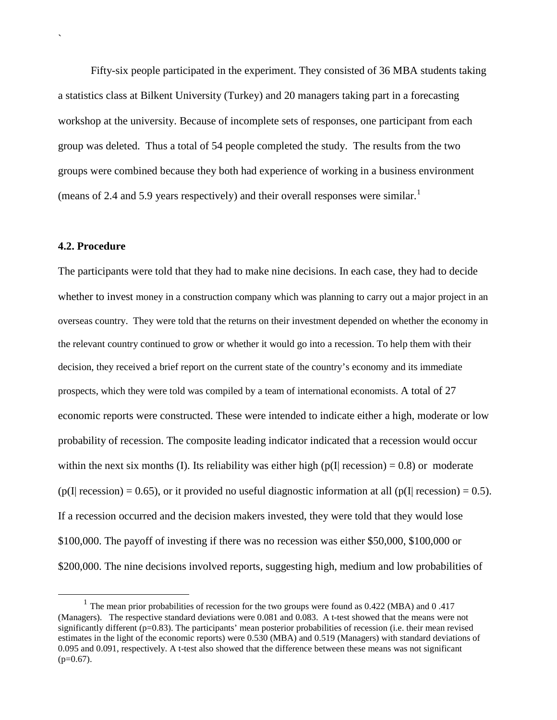Fifty-six people participated in the experiment. They consisted of 36 MBA students taking a statistics class at Bilkent University (Turkey) and 20 managers taking part in a forecasting workshop at the university. Because of incomplete sets of responses, one participant from each group was deleted. Thus a total of 54 people completed the study. The results from the two groups were combined because they both had experience of working in a business environment (means of 2.4 and 5.9 years respectively) and their overall responses were similar.<sup>[1](#page-11-0)</sup>

# **4.2. Procedure**

`

The participants were told that they had to make nine decisions. In each case, they had to decide whether to invest money in a construction company which was planning to carry out a major project in an overseas country. They were told that the returns on their investment depended on whether the economy in the relevant country continued to grow or whether it would go into a recession. To help them with their decision, they received a brief report on the current state of the country's economy and its immediate prospects, which they were told was compiled by a team of international economists. A total of 27 economic reports were constructed. These were intended to indicate either a high, moderate or low probability of recession. The composite leading indicator indicated that a recession would occur within the next six months (I). Its reliability was either high ( $p(I|$  recession) = 0.8) or moderate  $(p(I | recession) = 0.65)$ , or it provided no useful diagnostic information at all  $(p(I | recession) = 0.5)$ . If a recession occurred and the decision makers invested, they were told that they would lose \$100,000. The payoff of investing if there was no recession was either \$50,000, \$100,000 or \$200,000. The nine decisions involved reports, suggesting high, medium and low probabilities of

<span id="page-11-0"></span> $1$  The mean prior probabilities of recession for the two groups were found as 0.422 (MBA) and 0 .417 (Managers). The respective standard deviations were 0.081 and 0.083. A t-test showed that the means were not significantly different (p=0.83). The participants' mean posterior probabilities of recession (i.e. their mean revised estimates in the light of the economic reports) were 0.530 (MBA) and 0.519 (Managers) with standard deviations of 0.095 and 0.091, respectively. A t-test also showed that the difference between these means was not significant  $(p=0.67)$ .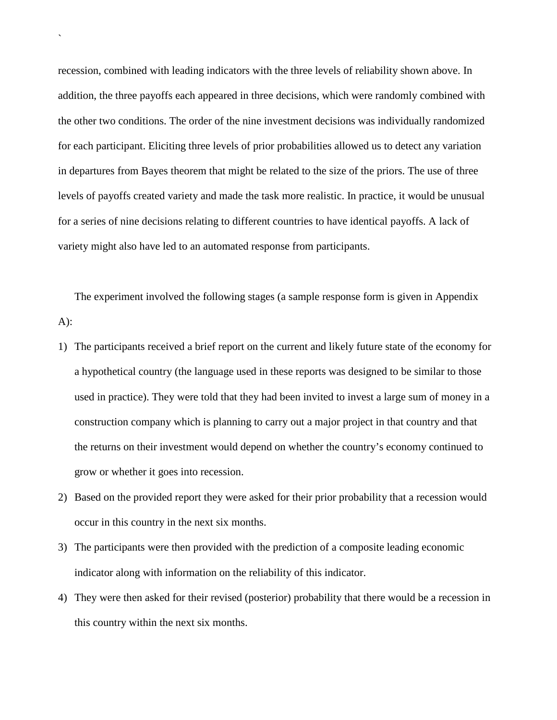recession, combined with leading indicators with the three levels of reliability shown above. In addition, the three payoffs each appeared in three decisions, which were randomly combined with the other two conditions. The order of the nine investment decisions was individually randomized for each participant. Eliciting three levels of prior probabilities allowed us to detect any variation in departures from Bayes theorem that might be related to the size of the priors. The use of three levels of payoffs created variety and made the task more realistic. In practice, it would be unusual for a series of nine decisions relating to different countries to have identical payoffs. A lack of variety might also have led to an automated response from participants.

`

The experiment involved the following stages (a sample response form is given in Appendix A):

- 1) The participants received a brief report on the current and likely future state of the economy for a hypothetical country (the language used in these reports was designed to be similar to those used in practice). They were told that they had been invited to invest a large sum of money in a construction company which is planning to carry out a major project in that country and that the returns on their investment would depend on whether the country's economy continued to grow or whether it goes into recession.
- 2) Based on the provided report they were asked for their prior probability that a recession would occur in this country in the next six months.
- 3) The participants were then provided with the prediction of a composite leading economic indicator along with information on the reliability of this indicator.
- 4) They were then asked for their revised (posterior) probability that there would be a recession in this country within the next six months.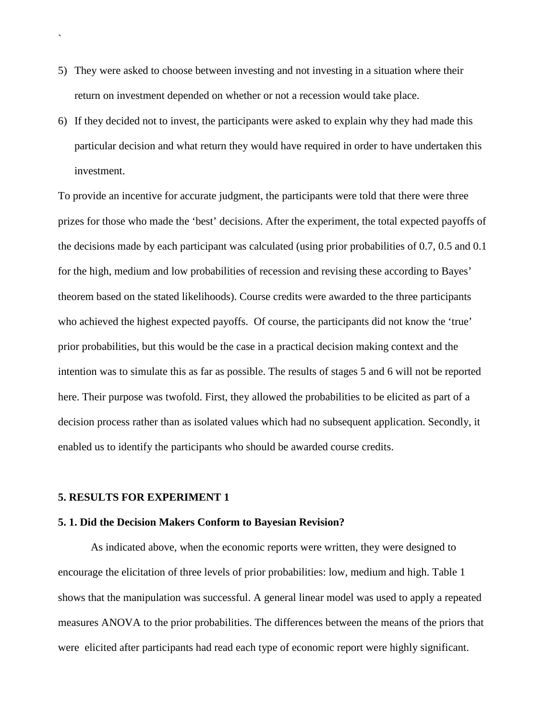- 5) They were asked to choose between investing and not investing in a situation where their return on investment depended on whether or not a recession would take place.
- 6) If they decided not to invest, the participants were asked to explain why they had made this particular decision and what return they would have required in order to have undertaken this investment.

To provide an incentive for accurate judgment, the participants were told that there were three prizes for those who made the 'best' decisions. After the experiment, the total expected payoffs of the decisions made by each participant was calculated (using prior probabilities of 0.7, 0.5 and 0.1 for the high, medium and low probabilities of recession and revising these according to Bayes' theorem based on the stated likelihoods). Course credits were awarded to the three participants who achieved the highest expected payoffs. Of course, the participants did not know the 'true' prior probabilities, but this would be the case in a practical decision making context and the intention was to simulate this as far as possible. The results of stages 5 and 6 will not be reported here. Their purpose was twofold. First, they allowed the probabilities to be elicited as part of a decision process rather than as isolated values which had no subsequent application. Secondly, it enabled us to identify the participants who should be awarded course credits.

# **5. RESULTS FOR EXPERIMENT 1**

`

#### **5. 1. Did the Decision Makers Conform to Bayesian Revision?**

As indicated above, when the economic reports were written, they were designed to encourage the elicitation of three levels of prior probabilities: low, medium and high. Table 1 shows that the manipulation was successful. A general linear model was used to apply a repeated measures ANOVA to the prior probabilities. The differences between the means of the priors that were elicited after participants had read each type of economic report were highly significant.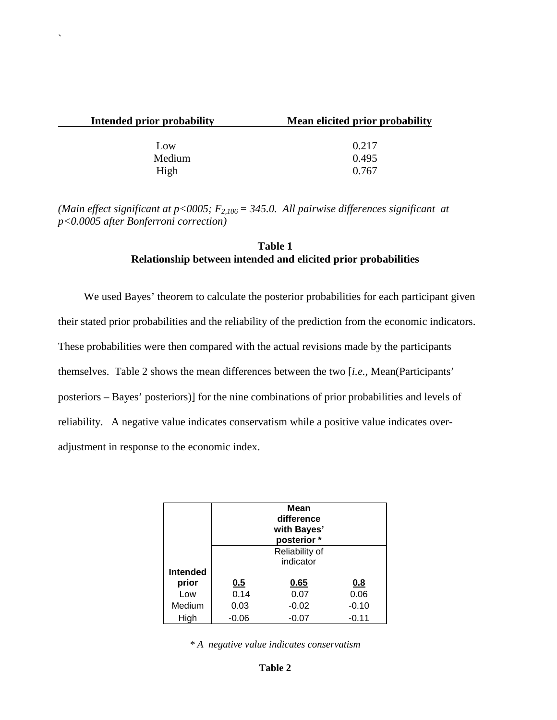| Intended prior probability | Mean elicited prior probability |
|----------------------------|---------------------------------|
|                            |                                 |
| L <sub>ow</sub>            | 0.217                           |
| Medium                     | 0.495                           |
| High                       | 0.767                           |

`

*(Main effect significant at p<0005;*  $F_{2,106} = 345.0$ . All pairwise differences significant at *p<0.0005 after Bonferroni correction)*

# **Table 1 Relationship between intended and elicited prior probabilities**

We used Bayes' theorem to calculate the posterior probabilities for each participant given their stated prior probabilities and the reliability of the prediction from the economic indicators. These probabilities were then compared with the actual revisions made by the participants themselves. Table 2 shows the mean differences between the two [*i.e.,* Mean(Participants' posteriors – Bayes' posteriors)] for the nine combinations of prior probabilities and levels of reliability. A negative value indicates conservatism while a positive value indicates overadjustment in response to the economic index.

|                 | Mean<br>difference<br>with Bayes'<br>posterior * |             |         |  |  |  |  |
|-----------------|--------------------------------------------------|-------------|---------|--|--|--|--|
|                 | Reliability of<br>indicator                      |             |         |  |  |  |  |
| <b>Intended</b> |                                                  |             |         |  |  |  |  |
| prior           | 0.5                                              | 0.65<br>0.8 |         |  |  |  |  |
| Low             | 0.14                                             | 0.07        | 0.06    |  |  |  |  |
| Medium          | 0.03<br>$-0.02$<br>$-0.10$                       |             |         |  |  |  |  |
| High            | $-0.06$                                          | $-0.07$     | $-0.11$ |  |  |  |  |

*\* A negative value indicates conservatism*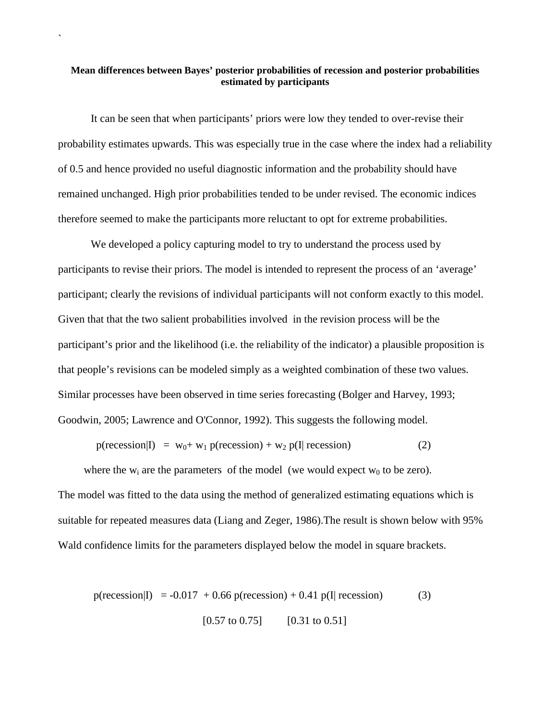# **Mean differences between Bayes' posterior probabilities of recession and posterior probabilities estimated by participants**

`

It can be seen that when participants' priors were low they tended to over-revise their probability estimates upwards. This was especially true in the case where the index had a reliability of 0.5 and hence provided no useful diagnostic information and the probability should have remained unchanged. High prior probabilities tended to be under revised. The economic indices therefore seemed to make the participants more reluctant to opt for extreme probabilities.

We developed a policy capturing model to try to understand the process used by participants to revise their priors. The model is intended to represent the process of an 'average' participant; clearly the revisions of individual participants will not conform exactly to this model. Given that that the two salient probabilities involved in the revision process will be the participant's prior and the likelihood (i.e. the reliability of the indicator) a plausible proposition is that people's revisions can be modeled simply as a weighted combination of these two values. Similar processes have been observed in time series forecasting (Bolger and Harvey, 1993; Goodwin, 2005; Lawrence and O'Connor, 1992). This suggests the following model.

 $p(\text{recession}|\mathbf{I}) = w_0 + w_1 p(\text{recession}) + w_2 p(\mathbf{I}|\text{recession})$  (2)

where the  $w_i$  are the parameters of the model (we would expect  $w_0$  to be zero). The model was fitted to the data using the method of generalized estimating equations which is suitable for repeated measures data (Liang and Zeger, 1986).The result is shown below with 95% Wald confidence limits for the parameters displayed below the model in square brackets.

$$
p(\text{recession}|\mathbf{I}) = -0.017 + 0.66 \, p(\text{recession}) + 0.41 \, p(\mathbf{I}|\text{ recession})\tag{3}
$$
\n
$$
[0.57 \text{ to } 0.75] \quad [0.31 \text{ to } 0.51]
$$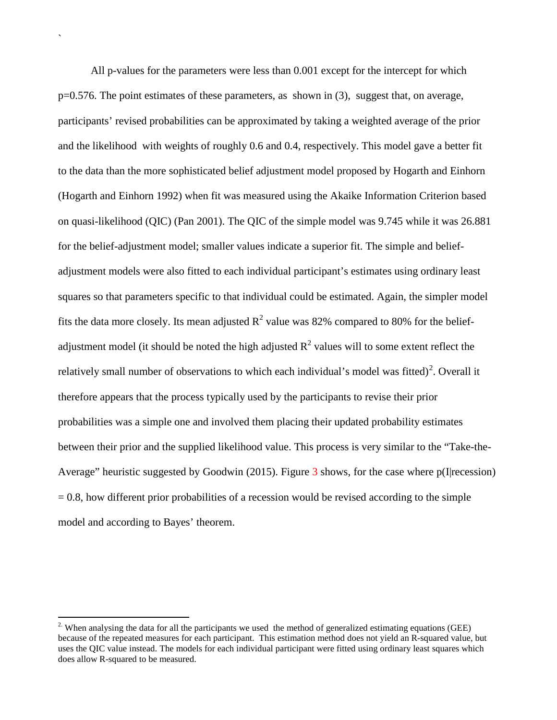All p-values for the parameters were less than 0.001 except for the intercept for which p=0.576. The point estimates of these parameters, as shown in (3), suggest that, on average, participants' revised probabilities can be approximated by taking a weighted average of the prior and the likelihood with weights of roughly 0.6 and 0.4, respectively. This model gave a better fit to the data than the more sophisticated belief adjustment model proposed by Hogarth and Einhorn (Hogarth and Einhorn 1992) when fit was measured using the Akaike Information Criterion based on quasi-likelihood (QIC) (Pan 2001). The QIC of the simple model was 9.745 while it was 26.881 for the belief-adjustment model; smaller values indicate a superior fit. The simple and beliefadjustment models were also fitted to each individual participant's estimates using ordinary least squares so that parameters specific to that individual could be estimated. Again, the simpler model fits the data more closely. Its mean adjusted  $R^2$  value was 82% compared to 80% for the beliefadjustment model (it should be noted the high adjusted  $R^2$  values will to some extent reflect the relatively small number of observations to which each individual's model was fitted)<sup>[2](#page-16-0)</sup>. Overall it therefore appears that the process typically used by the participants to revise their prior probabilities was a simple one and involved them placing their updated probability estimates between their prior and the supplied likelihood value. This process is very similar to the "Take-the-Average" heuristic suggested by Goodwin (2015). Figure 3 shows, for the case where p(I|recession)  $= 0.8$ , how different prior probabilities of a recession would be revised according to the simple model and according to Bayes' theorem.

`

<span id="page-16-0"></span><sup>&</sup>lt;sup>2.</sup> When analysing the data for all the participants we used the method of generalized estimating equations (GEE) because of the repeated measures for each participant. This estimation method does not yield an R-squared value, but uses the QIC value instead. The models for each individual participant were fitted using ordinary least squares which does allow R-squared to be measured.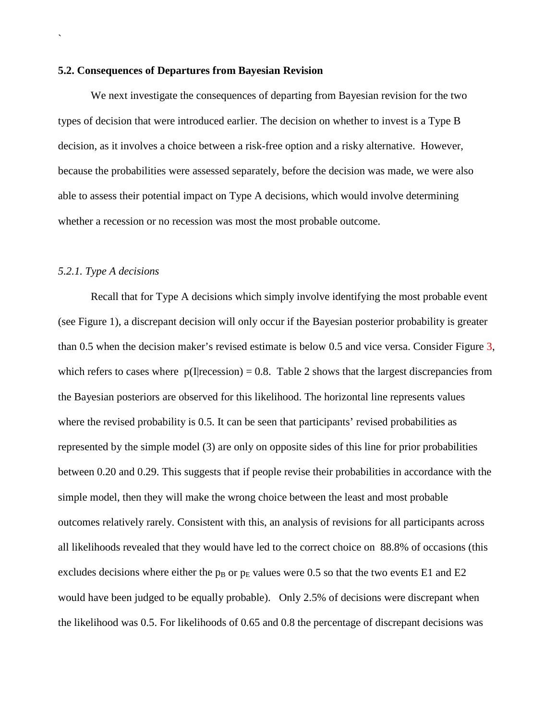#### **5.2. Consequences of Departures from Bayesian Revision**

We next investigate the consequences of departing from Bayesian revision for the two types of decision that were introduced earlier. The decision on whether to invest is a Type B decision, as it involves a choice between a risk-free option and a risky alternative. However, because the probabilities were assessed separately, before the decision was made, we were also able to assess their potential impact on Type A decisions, which would involve determining whether a recession or no recession was most the most probable outcome.

# *5.2.1. Type A decisions*

`

Recall that for Type A decisions which simply involve identifying the most probable event (see Figure 1), a discrepant decision will only occur if the Bayesian posterior probability is greater than 0.5 when the decision maker's revised estimate is below 0.5 and vice versa. Consider Figure 3, which refers to cases where  $p(I|recession) = 0.8$ . Table 2 shows that the largest discrepancies from the Bayesian posteriors are observed for this likelihood. The horizontal line represents values where the revised probability is 0.5. It can be seen that participants' revised probabilities as represented by the simple model (3) are only on opposite sides of this line for prior probabilities between 0.20 and 0.29. This suggests that if people revise their probabilities in accordance with the simple model, then they will make the wrong choice between the least and most probable outcomes relatively rarely. Consistent with this, an analysis of revisions for all participants across all likelihoods revealed that they would have led to the correct choice on 88.8% of occasions (this excludes decisions where either the  $p_B$  or  $p_E$  values were 0.5 so that the two events E1 and E2 would have been judged to be equally probable). Only 2.5% of decisions were discrepant when the likelihood was 0.5. For likelihoods of 0.65 and 0.8 the percentage of discrepant decisions was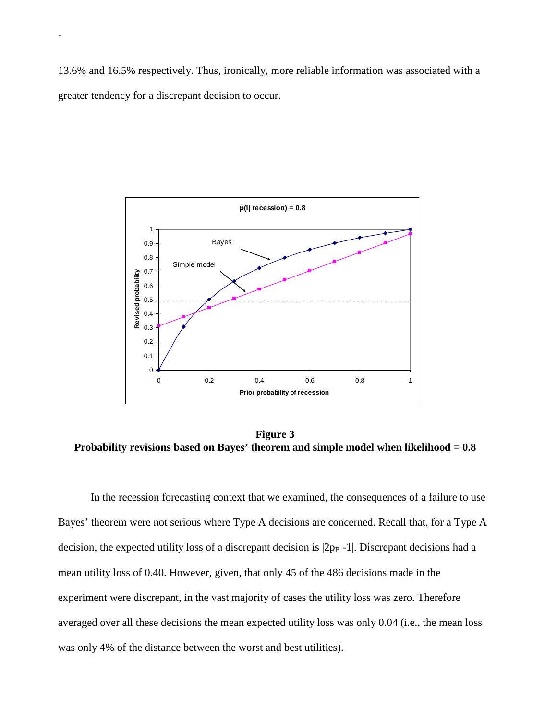13.6% and 16.5% respectively. Thus, ironically, more reliable information was associated with a greater tendency for a discrepant decision to occur.

`



**Figure 3 Probability revisions based on Bayes' theorem and simple model when likelihood = 0.8**

In the recession forecasting context that we examined, the consequences of a failure to use Bayes' theorem were not serious where Type A decisions are concerned. Recall that, for a Type A decision, the expected utility loss of a discrepant decision is  $|2p_B - 1|$ . Discrepant decisions had a mean utility loss of 0.40. However, given, that only 45 of the 486 decisions made in the experiment were discrepant, in the vast majority of cases the utility loss was zero. Therefore averaged over all these decisions the mean expected utility loss was only 0.04 (i.e., the mean loss was only 4% of the distance between the worst and best utilities).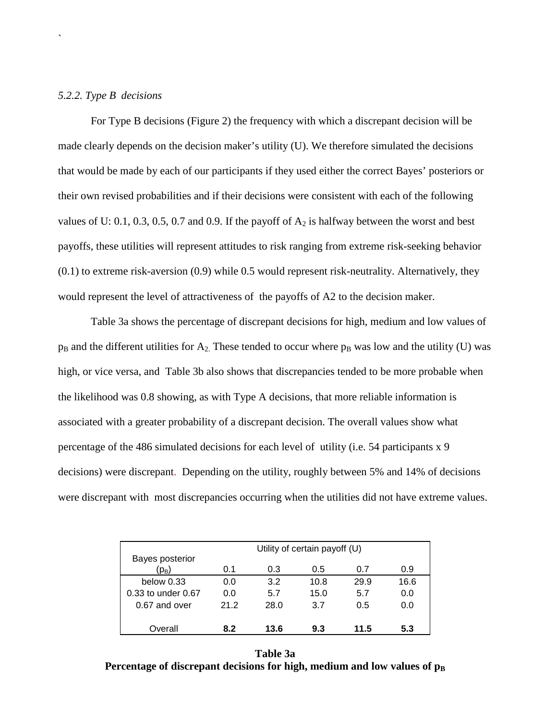# *5.2.2. Type B decisions*

`

For Type B decisions (Figure 2) the frequency with which a discrepant decision will be made clearly depends on the decision maker's utility (U). We therefore simulated the decisions that would be made by each of our participants if they used either the correct Bayes' posteriors or their own revised probabilities and if their decisions were consistent with each of the following values of U: 0.1, 0.3, 0.5, 0.7 and 0.9. If the payoff of  $A_2$  is halfway between the worst and best payoffs, these utilities will represent attitudes to risk ranging from extreme risk-seeking behavior (0.1) to extreme risk-aversion (0.9) while 0.5 would represent risk-neutrality. Alternatively, they would represent the level of attractiveness of the payoffs of A2 to the decision maker.

Table 3a shows the percentage of discrepant decisions for high, medium and low values of  $p_B$  and the different utilities for  $A_2$ . These tended to occur where  $p_B$  was low and the utility (U) was high, or vice versa, and Table 3b also shows that discrepancies tended to be more probable when the likelihood was 0.8 showing, as with Type A decisions, that more reliable information is associated with a greater probability of a discrepant decision. The overall values show what percentage of the 486 simulated decisions for each level of utility (i.e. 54 participants x 9 decisions) were discrepant. Depending on the utility, roughly between 5% and 14% of decisions were discrepant with most discrepancies occurring when the utilities did not have extreme values.

|                    | Utility of certain payoff (U) |      |      |      |      |  |
|--------------------|-------------------------------|------|------|------|------|--|
| Bayes posterior    |                               |      |      |      |      |  |
| (p <sub>B</sub> )  | 0.1                           | 0.3  | 0.5  | 0.7  | 0.9  |  |
| below $0.33$       | 0.0                           | 3.2  | 10.8 | 29.9 | 16.6 |  |
| 0.33 to under 0.67 | 0.0                           | 5.7  | 15.0 | 5.7  | 0.0  |  |
| 0.67 and over      | 21.2                          | 28.0 | 3.7  | 0.5  | 0.0  |  |
| Overall            | 8.2                           | 13.6 | 9.3  | 11.5 | 5.3  |  |

**Table 3a Percentage of discrepant decisions for high, medium and low values of**  $p_B$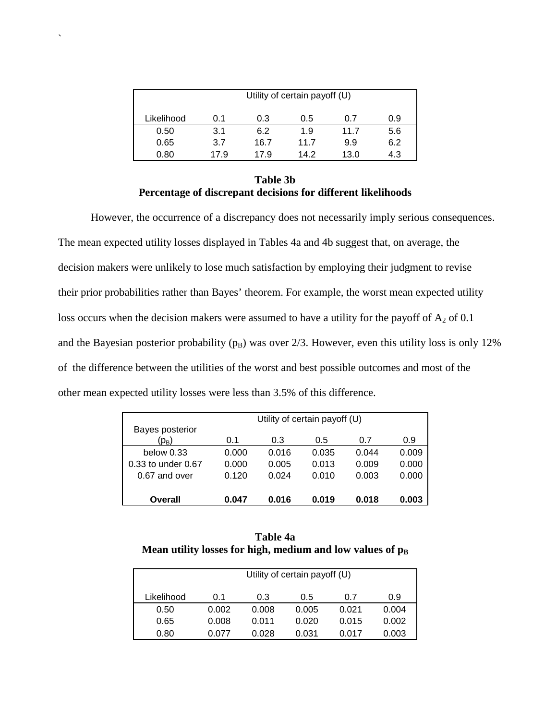|            | Utility of certain payoff (U) |      |      |      |     |  |  |
|------------|-------------------------------|------|------|------|-----|--|--|
| Likelihood | 0.1                           | 0.3  | 0.5  | 0.7  | 0.9 |  |  |
| 0.50       | 3.1                           | 6.2  | 1.9  | 11.7 | 5.6 |  |  |
| 0.65       | 3.7                           | 16.7 | 11.7 | 9.9  | 6.2 |  |  |
| 0.80       | 17.9                          | 17.9 | 14 2 | 13.0 | 4.3 |  |  |

`

# **Table 3b Percentage of discrepant decisions for different likelihoods**

However, the occurrence of a discrepancy does not necessarily imply serious consequences. The mean expected utility losses displayed in Tables 4a and 4b suggest that, on average, the decision makers were unlikely to lose much satisfaction by employing their judgment to revise their prior probabilities rather than Bayes' theorem. For example, the worst mean expected utility loss occurs when the decision makers were assumed to have a utility for the payoff of  $A_2$  of 0.1 and the Bayesian posterior probability  $(p_B)$  was over 2/3. However, even this utility loss is only 12% of the difference between the utilities of the worst and best possible outcomes and most of the other mean expected utility losses were less than 3.5% of this difference.

|                        |       | Utility of certain payoff (U) |       |       |       |
|------------------------|-------|-------------------------------|-------|-------|-------|
| Bayes posterior        |       |                               |       |       |       |
| (р <sub>в</sub> )      | 0.1   | 0.3                           | 0.5   | 0.7   | 0.9   |
| below $0.33$           | 0.000 | 0.016                         | 0.035 | 0.044 | 0.009 |
| $0.33$ to under $0.67$ | 0.000 | 0.005                         | 0.013 | 0.009 | 0.000 |
| 0.67 and over          | 0.120 | 0.024                         | 0.010 | 0.003 | 0.000 |
|                        |       |                               |       |       |       |
| Overall                | 0.047 | 0.016                         | 0.019 | 0.018 | 0.003 |

**Table 4a**  Mean utility losses for high, medium and low values of  $p_B$ 

|            | Utility of certain payoff (U) |       |       |       |       |  |  |  |
|------------|-------------------------------|-------|-------|-------|-------|--|--|--|
| Likelihood | 0.1                           | 0.3   | 0.5   | 0.7   | 0.9   |  |  |  |
| 0.50       | 0.002                         | 0.008 | 0.005 | 0.021 | 0.004 |  |  |  |
| 0.65       | 0.008                         | 0.011 | 0.020 | 0.015 | 0.002 |  |  |  |
| 0.80       | 0.077                         | 0.028 | 0.031 | 0.017 | 0.003 |  |  |  |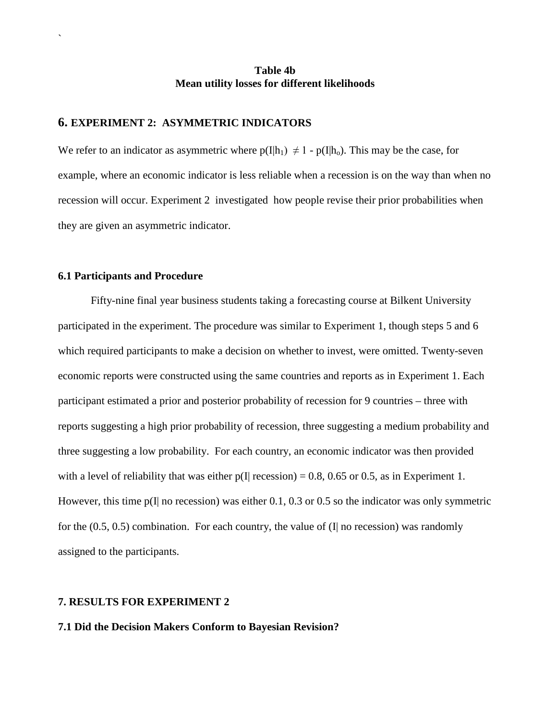# **Table 4b Mean utility losses for different likelihoods**

# **6. EXPERIMENT 2: ASYMMETRIC INDICATORS**

We refer to an indicator as asymmetric where  $p(I|h_1) \neq 1 - p(I|h_0)$ . This may be the case, for example, where an economic indicator is less reliable when a recession is on the way than when no recession will occur. Experiment 2 investigated how people revise their prior probabilities when they are given an asymmetric indicator.

# **6.1 Participants and Procedure**

`

Fifty-nine final year business students taking a forecasting course at Bilkent University participated in the experiment. The procedure was similar to Experiment 1, though steps 5 and 6 which required participants to make a decision on whether to invest, were omitted. Twenty-seven economic reports were constructed using the same countries and reports as in Experiment 1. Each participant estimated a prior and posterior probability of recession for 9 countries – three with reports suggesting a high prior probability of recession, three suggesting a medium probability and three suggesting a low probability. For each country, an economic indicator was then provided with a level of reliability that was either  $p(I|$  recession) = 0.8, 0.65 or 0.5, as in Experiment 1. However, this time  $p(I|$  no recession) was either 0.1, 0.3 or 0.5 so the indicator was only symmetric for the  $(0.5, 0.5)$  combination. For each country, the value of  $(I)$  no recession) was randomly assigned to the participants.

# **7. RESULTS FOR EXPERIMENT 2**

### **7.1 Did the Decision Makers Conform to Bayesian Revision?**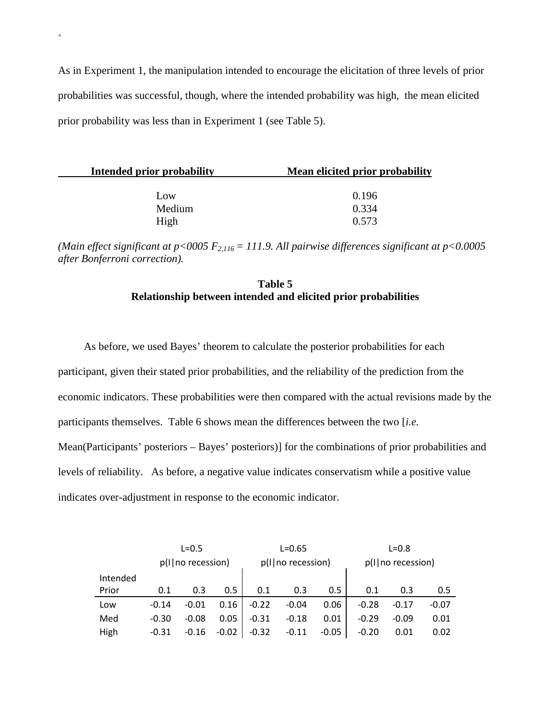As in Experiment 1, the manipulation intended to encourage the elicitation of three levels of prior probabilities was successful, though, where the intended probability was high, the mean elicited prior probability was less than in Experiment 1 (see Table 5).

`

| Intended prior probability | Mean elicited prior probability |
|----------------------------|---------------------------------|
| Low                        | 0.196                           |
| Medium                     | 0.334                           |
| High                       | 0.573                           |

*(Main effect significant at p<0005 F2,116 = 111.9. All pairwise differences significant at p<0.0005 after Bonferroni correction).*

# **Table 5 Relationship between intended and elicited prior probabilities**

As before, we used Bayes' theorem to calculate the posterior probabilities for each participant, given their stated prior probabilities, and the reliability of the prediction from the economic indicators. These probabilities were then compared with the actual revisions made by the participants themselves. Table 6 shows mean the differences between the two [*i.e.* Mean(Participants' posteriors – Bayes' posteriors)] for the combinations of prior probabilities and levels of reliability. As before, a negative value indicates conservatism while a positive value indicates over-adjustment in response to the economic indicator.

|          | $L = 0.5$           |         | $L = 0.65$          |         |                     | $L = 0.8$ |         |         |         |
|----------|---------------------|---------|---------------------|---------|---------------------|-----------|---------|---------|---------|
|          | $p(1 no$ recession) |         | p(I   no recession) |         | p(I   no recession) |           |         |         |         |
| Intended |                     |         |                     |         |                     |           |         |         |         |
| Prior    | 0.1                 | 0.3     | 0.5                 | 0.1     | 0.3                 | 0.5       | 0.1     | 0.3     | 0.5     |
| Low      | $-0.14$             | $-0.01$ | 0.16                | $-0.22$ | $-0.04$             | 0.06      | $-0.28$ | $-0.17$ | $-0.07$ |
| Med      | $-0.30$             | $-0.08$ | 0.05                | $-0.31$ | $-0.18$             | 0.01      | $-0.29$ | $-0.09$ | 0.01    |
| High     | $-0.31$             | $-0.16$ | $-0.02$             | $-0.32$ | $-0.11$             | $-0.05$   | $-0.20$ | 0.01    | 0.02    |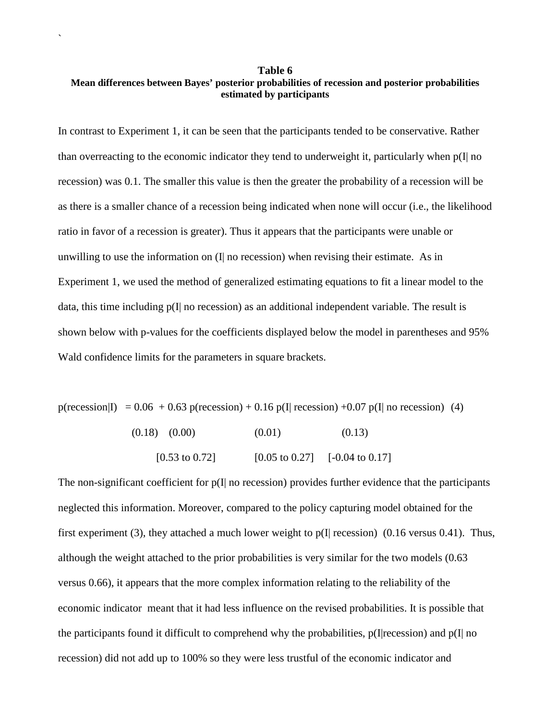# **Table 6 Mean differences between Bayes' posterior probabilities of recession and posterior probabilities estimated by participants**

`

In contrast to Experiment 1, it can be seen that the participants tended to be conservative. Rather than overreacting to the economic indicator they tend to underweight it, particularly when  $p(I|$  no recession) was 0.1. The smaller this value is then the greater the probability of a recession will be as there is a smaller chance of a recession being indicated when none will occur (i.e., the likelihood ratio in favor of a recession is greater). Thus it appears that the participants were unable or unwilling to use the information on (I| no recession) when revising their estimate. As in Experiment 1, we used the method of generalized estimating equations to fit a linear model to the data, this time including  $p(I|$  no recession) as an additional independent variable. The result is shown below with p-values for the coefficients displayed below the model in parentheses and 95% Wald confidence limits for the parameters in square brackets.

p(recession|I) =  $0.06 + 0.63$  p(recession) + 0.16 p(I] recession) +0.07 p(I] no recession) (4)

| $(0.18)$ $(0.00)$         | (0.01)                    | (0.13)                     |
|---------------------------|---------------------------|----------------------------|
| $[0.53 \text{ to } 0.72]$ | $[0.05 \text{ to } 0.27]$ | $[-0.04 \text{ to } 0.17]$ |

The non-significant coefficient for  $p(I|$  no recession) provides further evidence that the participants neglected this information. Moreover, compared to the policy capturing model obtained for the first experiment (3), they attached a much lower weight to  $p(I|$  recession) (0.16 versus 0.41). Thus, although the weight attached to the prior probabilities is very similar for the two models (0.63 versus 0.66), it appears that the more complex information relating to the reliability of the economic indicator meant that it had less influence on the revised probabilities. It is possible that the participants found it difficult to comprehend why the probabilities,  $p(I|recession)$  and  $p(I|$  no recession) did not add up to 100% so they were less trustful of the economic indicator and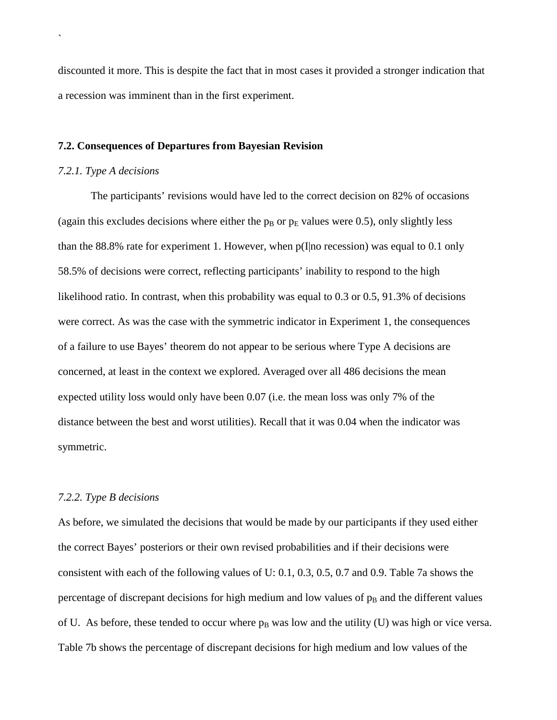discounted it more. This is despite the fact that in most cases it provided a stronger indication that a recession was imminent than in the first experiment.

#### **7.2. Consequences of Departures from Bayesian Revision**

#### *7.2.1. Type A decisions*

`

The participants' revisions would have led to the correct decision on 82% of occasions (again this excludes decisions where either the  $p_B$  or  $p_E$  values were 0.5), only slightly less than the 88.8% rate for experiment 1. However, when p(I|no recession) was equal to 0.1 only 58.5% of decisions were correct, reflecting participants' inability to respond to the high likelihood ratio. In contrast, when this probability was equal to 0.3 or 0.5, 91.3% of decisions were correct. As was the case with the symmetric indicator in Experiment 1, the consequences of a failure to use Bayes' theorem do not appear to be serious where Type A decisions are concerned, at least in the context we explored. Averaged over all 486 decisions the mean expected utility loss would only have been 0.07 (i.e. the mean loss was only 7% of the distance between the best and worst utilities). Recall that it was 0.04 when the indicator was symmetric.

#### *7.2.2. Type B decisions*

As before, we simulated the decisions that would be made by our participants if they used either the correct Bayes' posteriors or their own revised probabilities and if their decisions were consistent with each of the following values of U: 0.1, 0.3, 0.5, 0.7 and 0.9. Table 7a shows the percentage of discrepant decisions for high medium and low values of  $p<sub>B</sub>$  and the different values of U. As before, these tended to occur where  $p_B$  was low and the utility (U) was high or vice versa. Table 7b shows the percentage of discrepant decisions for high medium and low values of the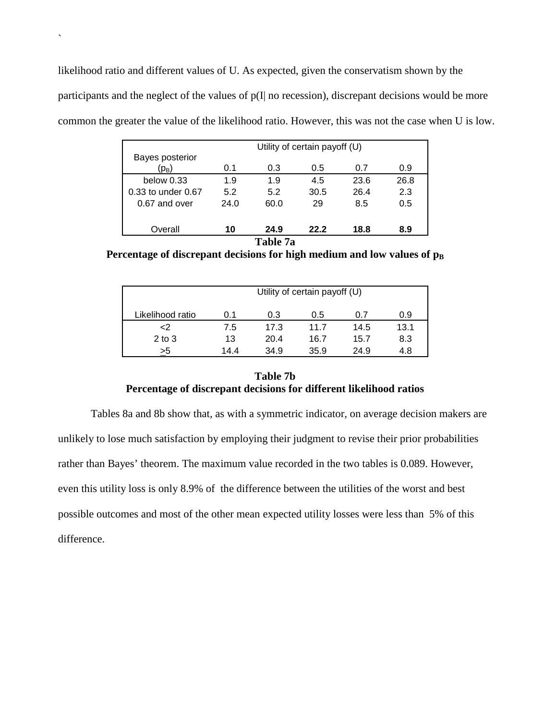likelihood ratio and different values of U. As expected, given the conservatism shown by the participants and the neglect of the values of  $p(I|$  no recession), discrepant decisions would be more common the greater the value of the likelihood ratio. However, this was not the case when U is low.

`

| Utility of certain payoff (U) |      |          |      |      |      |  |
|-------------------------------|------|----------|------|------|------|--|
| Bayes posterior<br>$(p_B)$    | 0.1  | 0.3      | 0.5  | 0.7  | 0.9  |  |
| below $0.33$                  | 1.9  | 1.9      | 4.5  | 23.6 | 26.8 |  |
| 0.33 to under 0.67            | 5.2  | 5.2      | 30.5 | 26.4 | 2.3  |  |
| 0.67 and over                 | 24.0 | 60.0     | 29   | 8.5  | 0.5  |  |
| Overall                       | 10   | 24.9     | 22.2 | 18.8 | 8.9  |  |
|                               |      | Table 7a |      |      |      |  |

Percentage of discrepant decisions for high medium and low values of  $p_B$ 

|                  | Utility of certain payoff (U) |      |      |      |      |  |
|------------------|-------------------------------|------|------|------|------|--|
| Likelihood ratio | 0.1                           | 0.3  | 0.5  | 0.7  | 0.9  |  |
| <2               | 7.5                           | 17.3 | 11.7 | 14.5 | 13.1 |  |
| $2$ to $3$       | 13                            | 20.4 | 16.7 | 15.7 | 8.3  |  |
| >5               | 14.4                          | 34.9 | 35.9 | 24.9 | 4.8  |  |

# **Table 7b Percentage of discrepant decisions for different likelihood ratios**

Tables 8a and 8b show that, as with a symmetric indicator, on average decision makers are unlikely to lose much satisfaction by employing their judgment to revise their prior probabilities rather than Bayes' theorem. The maximum value recorded in the two tables is 0.089. However, even this utility loss is only 8.9% of the difference between the utilities of the worst and best possible outcomes and most of the other mean expected utility losses were less than 5% of this difference.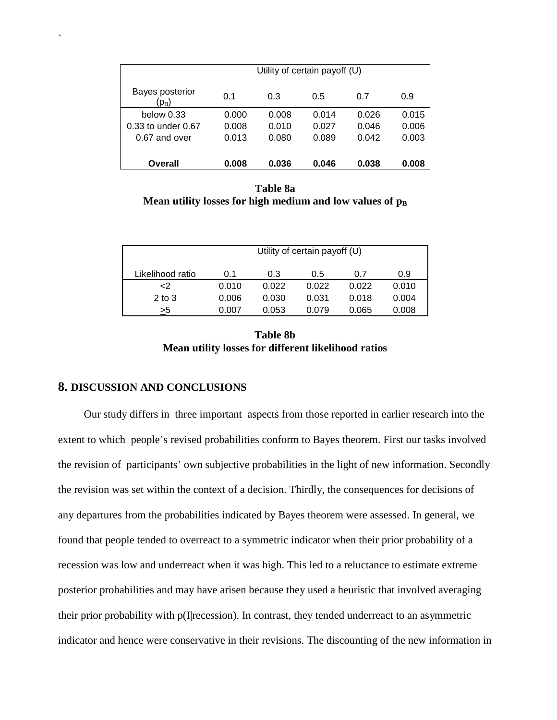|                                      | Utility of certain payoff (U) |       |       |       |       |  |
|--------------------------------------|-------------------------------|-------|-------|-------|-------|--|
| Bayes posterior<br>(р <sub>в</sub> ) | 0.1                           | 0.3   | 0.5   | 0.7   | 0.9   |  |
| below $0.33$                         | 0.000                         | 0.008 | 0.014 | 0.026 | 0.015 |  |
| 0.33 to under 0.67                   | 0.008                         | 0.010 | 0.027 | 0.046 | 0.006 |  |
| 0.67 and over                        | 0.013                         | 0.080 | 0.089 | 0.042 | 0.003 |  |
|                                      |                               |       |       |       |       |  |
| Overall                              | 0.008                         | 0.036 | 0.046 | 0.038 | 0.008 |  |

**Table 8a Mean utility losses for high medium and low values of**  $p_B$ 

|                  | Utility of certain payoff (U) |       |       |       |       |  |
|------------------|-------------------------------|-------|-------|-------|-------|--|
| Likelihood ratio | 0.1                           | 0.3   | 0.5   | 0.7   | 0.9   |  |
| $\mathsf{C}2$    | 0.010                         | 0.022 | 0.022 | 0.022 | 0.010 |  |
| $2$ to $3$       | 0.006                         | 0.030 | 0.031 | 0.018 | 0.004 |  |
| >5               | 0.007                         | 0.053 | 0.079 | 0.065 | 0.008 |  |
|                  |                               |       |       |       |       |  |

| <b>Table 8b</b>                                     |  |  |  |  |  |  |
|-----------------------------------------------------|--|--|--|--|--|--|
| Mean utility losses for different likelihood ratios |  |  |  |  |  |  |

# **8. DISCUSSION AND CONCLUSIONS**

`

Our study differs in three important aspects from those reported in earlier research into the extent to which people's revised probabilities conform to Bayes theorem. First our tasks involved the revision of participants' own subjective probabilities in the light of new information. Secondly the revision was set within the context of a decision. Thirdly, the consequences for decisions of any departures from the probabilities indicated by Bayes theorem were assessed. In general, we found that people tended to overreact to a symmetric indicator when their prior probability of a recession was low and underreact when it was high. This led to a reluctance to estimate extreme posterior probabilities and may have arisen because they used a heuristic that involved averaging their prior probability with p(I|recession). In contrast, they tended underreact to an asymmetric indicator and hence were conservative in their revisions. The discounting of the new information in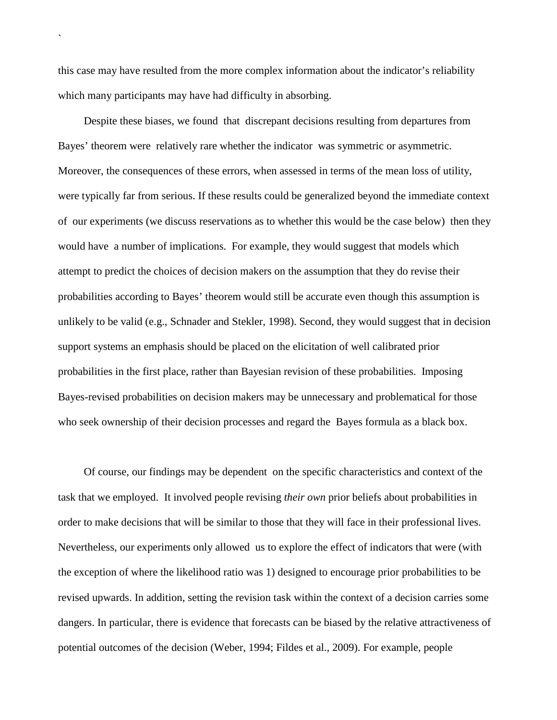this case may have resulted from the more complex information about the indicator's reliability which many participants may have had difficulty in absorbing.

`

Despite these biases, we found that discrepant decisions resulting from departures from Bayes' theorem were relatively rare whether the indicator was symmetric or asymmetric. Moreover, the consequences of these errors, when assessed in terms of the mean loss of utility, were typically far from serious. If these results could be generalized beyond the immediate context of our experiments (we discuss reservations as to whether this would be the case below) then they would have a number of implications. For example, they would suggest that models which attempt to predict the choices of decision makers on the assumption that they do revise their probabilities according to Bayes' theorem would still be accurate even though this assumption is unlikely to be valid (e.g., Schnader and Stekler, 1998). Second, they would suggest that in decision support systems an emphasis should be placed on the elicitation of well calibrated prior probabilities in the first place, rather than Bayesian revision of these probabilities. Imposing Bayes-revised probabilities on decision makers may be unnecessary and problematical for those who seek ownership of their decision processes and regard the Bayes formula as a black box.

Of course, our findings may be dependent on the specific characteristics and context of the task that we employed. It involved people revising *their own* prior beliefs about probabilities in order to make decisions that will be similar to those that they will face in their professional lives. Nevertheless, our experiments only allowed us to explore the effect of indicators that were (with the exception of where the likelihood ratio was 1) designed to encourage prior probabilities to be revised upwards. In addition, setting the revision task within the context of a decision carries some dangers. In particular, there is evidence that forecasts can be biased by the relative attractiveness of potential outcomes of the decision (Weber, 1994; Fildes et al., 2009). For example, people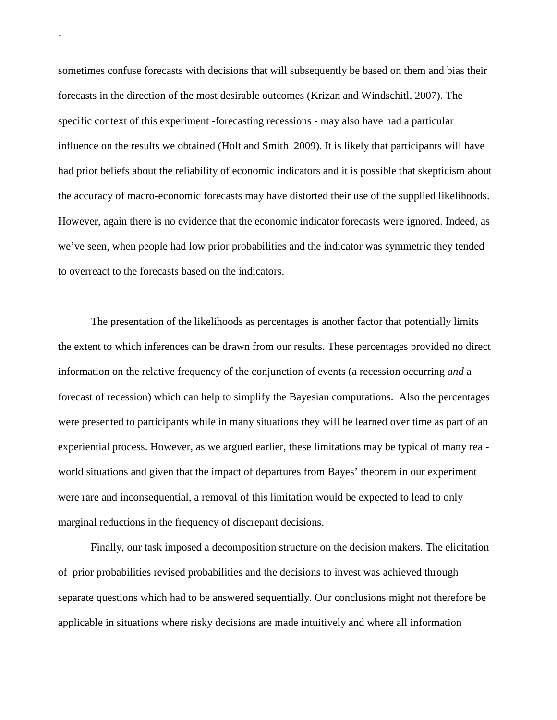sometimes confuse forecasts with decisions that will subsequently be based on them and bias their forecasts in the direction of the most desirable outcomes (Krizan and Windschitl, 2007). The specific context of this experiment -forecasting recessions - may also have had a particular influence on the results we obtained (Holt and Smith 2009). It is likely that participants will have had prior beliefs about the reliability of economic indicators and it is possible that skepticism about the accuracy of macro-economic forecasts may have distorted their use of the supplied likelihoods. However, again there is no evidence that the economic indicator forecasts were ignored. Indeed, as we've seen, when people had low prior probabilities and the indicator was symmetric they tended to overreact to the forecasts based on the indicators.

`

The presentation of the likelihoods as percentages is another factor that potentially limits the extent to which inferences can be drawn from our results. These percentages provided no direct information on the relative frequency of the conjunction of events (a recession occurring *and* a forecast of recession) which can help to simplify the Bayesian computations. Also the percentages were presented to participants while in many situations they will be learned over time as part of an experiential process. However, as we argued earlier, these limitations may be typical of many realworld situations and given that the impact of departures from Bayes' theorem in our experiment were rare and inconsequential, a removal of this limitation would be expected to lead to only marginal reductions in the frequency of discrepant decisions.

Finally, our task imposed a decomposition structure on the decision makers. The elicitation of prior probabilities revised probabilities and the decisions to invest was achieved through separate questions which had to be answered sequentially. Our conclusions might not therefore be applicable in situations where risky decisions are made intuitively and where all information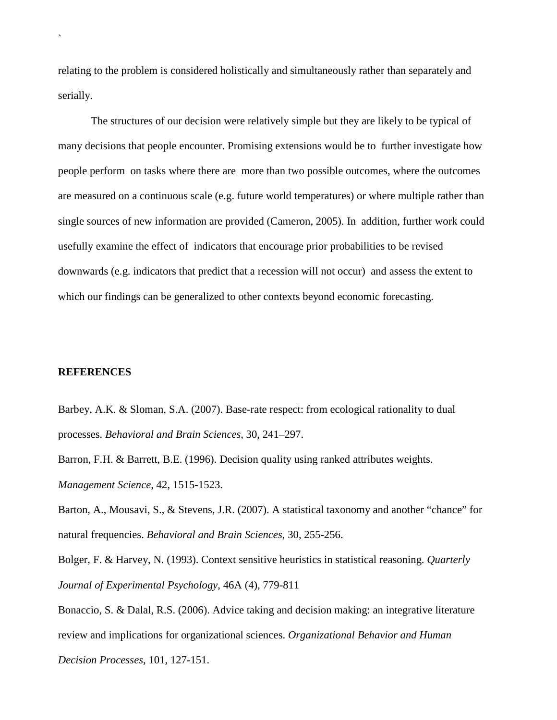relating to the problem is considered holistically and simultaneously rather than separately and serially.

The structures of our decision were relatively simple but they are likely to be typical of many decisions that people encounter. Promising extensions would be to further investigate how people perform on tasks where there are more than two possible outcomes, where the outcomes are measured on a continuous scale (e.g. future world temperatures) or where multiple rather than single sources of new information are provided (Cameron, 2005). In addition, further work could usefully examine the effect of indicators that encourage prior probabilities to be revised downwards (e.g. indicators that predict that a recession will not occur) and assess the extent to which our findings can be generalized to other contexts beyond economic forecasting.

# **REFERENCES**

`

Barbey, A.K. & Sloman, S.A. (2007). Base-rate respect: from ecological rationality to dual processes. *Behavioral and Brain Sciences*, 30, 241–297.

Barron, F.H. & Barrett, B.E. (1996). Decision quality using ranked attributes weights. *Management Science*, 42, 1515-1523.

Barton, A., Mousavi, S., & Stevens, J.R. (2007). A statistical taxonomy and another "chance" for natural frequencies. *Behavioral and Brain Sciences*, 30, 255-256.

Bolger, F. & Harvey, N. (1993). Context sensitive heuristics in statistical reasoning. *Quarterly Journal of Experimental Psychology*, 46A (4), 779-811

Bonaccio, S. & Dalal, R.S. (2006). Advice taking and decision making: an integrative literature review and implications for organizational sciences. *Organizational Behavior and Human* 

*Decision Processes*, 101, 127-151.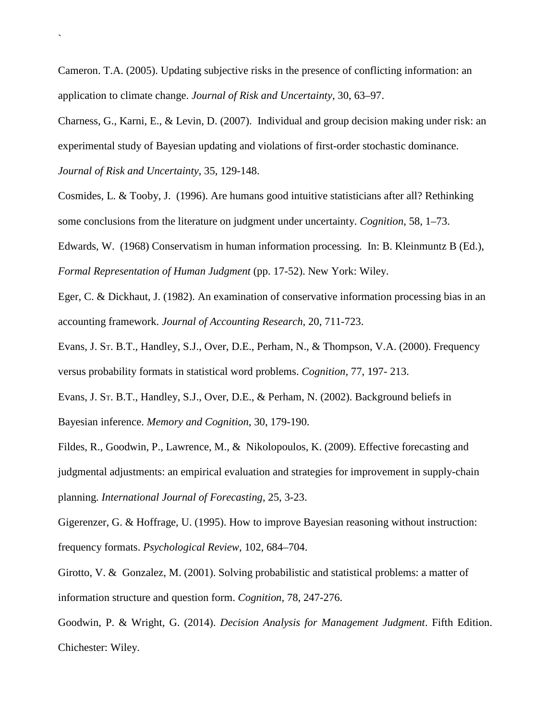Cameron. T.A. (2005). Updating subjective risks in the presence of conflicting information: an application to climate change. *Journal of Risk and Uncertainty*, 30, 63–97.

Charness, G., Karni, E., & Levin, D. (2007). Individual and group decision making under risk: an experimental study of Bayesian updating and violations of first-order stochastic dominance.

*Journal of Risk and Uncertainty*, [35,](http://www.springerlink.com/content/0895-5646/35/2/) 129-148.

`

Cosmides, L. & Tooby, J. (1996). Are humans good intuitive statisticians after all? Rethinking some conclusions from the literature on judgment under uncertainty. *Cognition*, 58, 1–73.

Edwards, W. (1968) Conservatism in human information processing. In: B. Kleinmuntz B (Ed.), *Formal Representation of Human Judgment* (pp. 17-52). New York: Wiley.

Eger, C. & Dickhaut, J. (1982). An examination of conservative information processing bias in an accounting framework. *Journal of Accounting Research*, 20, 711-723.

Evans, J. ST. B.T., Handley, S.J., Over, D.E., Perham, N., & Thompson, V.A. (2000). Frequency versus probability formats in statistical word problems. *Cognition*, 77, 197- 213.

Evans, J. ST. B.T., Handley, S.J., Over, D.E., & Perham, N. (2002). Background beliefs in Bayesian inference. *Memory and Cognition*, 30, 179-190.

Fildes, R., Goodwin, P., Lawrence, M., & Nikolopoulos, K. (2009). [Effective forecasting and](https://mgt.bath.ac.uk/exchweb/bin/redir.asp?URL=http://www.sciencedirect.com/science?_ob=GatewayURL%26_method=citationSearch%26_urlVersion=4%26_origin=SDVIALERTHTML%26_version=1%26_uoikey=B6V92-4VC73VJ-1%26md5=1250395cd78faa3c1b7b477e5ace3e59)  [judgmental adjustments: an empirical evaluation and strategies for improvement in supply-chain](https://mgt.bath.ac.uk/exchweb/bin/redir.asp?URL=http://www.sciencedirect.com/science?_ob=GatewayURL%26_method=citationSearch%26_urlVersion=4%26_origin=SDVIALERTHTML%26_version=1%26_uoikey=B6V92-4VC73VJ-1%26md5=1250395cd78faa3c1b7b477e5ace3e59)  [planning.](https://mgt.bath.ac.uk/exchweb/bin/redir.asp?URL=http://www.sciencedirect.com/science?_ob=GatewayURL%26_method=citationSearch%26_urlVersion=4%26_origin=SDVIALERTHTML%26_version=1%26_uoikey=B6V92-4VC73VJ-1%26md5=1250395cd78faa3c1b7b477e5ace3e59) *International Journal of Forecasting*, 25, 3-23.

Gigerenzer, G. & Hoffrage, U. (1995). How to improve Bayesian reasoning without instruction: frequency formats. *Psychological Review*, 102, 684–704.

Girotto, V. & Gonzalez, M. (2001). Solving probabilistic and statistical problems: a matter of information structure and question form. *Cognition*, 78, 247-276.

Goodwin, P. & Wright, G. (2014). *Decision Analysis for Management Judgment*. Fifth Edition. Chichester: Wiley.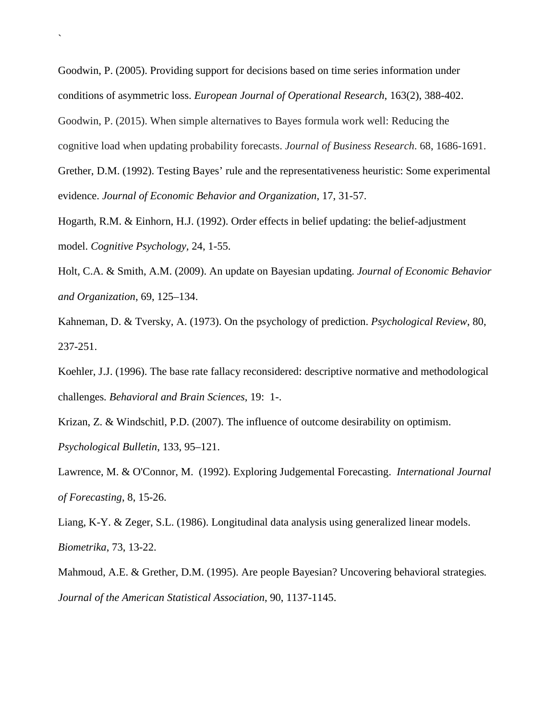Goodwin, P. (2005). Providing support for decisions based on time series information under conditions of asymmetric loss. *European Journal of Operational Research*, 163(2), 388-402. Goodwin, P. (2015). When simple alternatives to Bayes formula work well: Reducing the cognitive load when updating probability forecasts. *Journal of Business Research*. 68, 1686-1691. Grether, D.M. (1992). Testing Bayes' rule and the representativeness heuristic: Some experimental

`

evidence. *Journal of Economic Behavior and Organization*, 17, 31-57.

Hogarth, R.M. & Einhorn, H.J. (1992). Order effects in belief updating: the belief-adjustment model. *Cognitive Psychology,* 24, 1-55.

Holt, C.A. & Smith, A.M. (2009). An update on Bayesian updating. *Journal of Economic Behavior and Organization*, 69, 125–134.

Kahneman, D. & Tversky, A. (1973). On the psychology of prediction. *Psychological Review*, 80, 237-251.

[Koehler,](http://apps.isiknowledge.com.ezp2.bath.ac.uk/DaisyOneClickSearch.do?product=WOS&search_mode=DaisyOneClickSearch&db_id=&SID=Q2nHiEIPknAD@i8aPKC&name=Koehler%20JJ&ut=A1996VJ18200001&pos=1) J.J. (1996). The base rate fallacy reconsidered: descriptive normative and methodological challenges*. Behavioral and Brain Sciences*, 19: 1-.

Krizan, Z. & Windschitl, P.D. (2007). The influence of outcome desirability on optimism. *Psychological Bulletin*, 133, 95–121.

Lawrence, M. & O'Connor, M. (1992). Exploring Judgemental Forecasting. *International Journal of Forecasting*, 8, 15-26.

Liang, K-Y. & Zeger, S.L. (1986). Longitudinal data analysis using generalized linear models. *Biometrika*, 73, 13-22.

Mahmoud, A.E. & Grether, D.M. (1995). Are people Bayesian? Uncovering behavioral strategies*. Journal of the American Statistical Association*, 90, 1137-1145.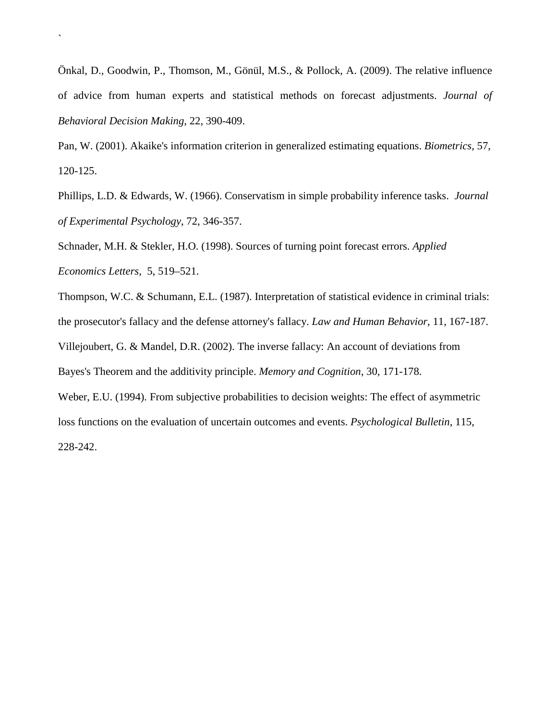Önkal, D., Goodwin, P., Thomson, M., Gönül, M.S., & Pollock, A. (2009). The relative influence of advice from human experts and statistical methods on forecast adjustments. *Journal of Behavioral Decision Making*, 22, 390-409.

`

Pan, W. (2001). Akaike's information criterion in generalized estimating equations. *Biometrics*, 57, 120-125.

Phillips, L.D. & Edwards, W. (1966). Conservatism in simple probability inference tasks. *Journal of Experimental Psychology*, 72, 346-357.

Schnader, M.H. & Stekler, H.O. (1998). Sources of turning point forecast errors. *Applied Economics Letters*, 5, 519–521.

Thompson, W.C. & Schumann, E.L. (1987). Interpretation of statistical evidence in criminal trials: the prosecutor's fallacy and the defense attorney's fallacy. *Law and Human Behavior*, 11, 167-187.

Villejoubert, G. & Mandel, D.R. (2002). The inverse fallacy: An account of deviations from

Bayes's Theorem and the additivity principle. *Memory and Cognition*, 30, 171-178.

Weber, E.U. (1994). From subjective probabilities to decision weights: The effect of asymmetric loss functions on the evaluation of uncertain outcomes and events. *Psychological Bulletin*, 115, 228-242.